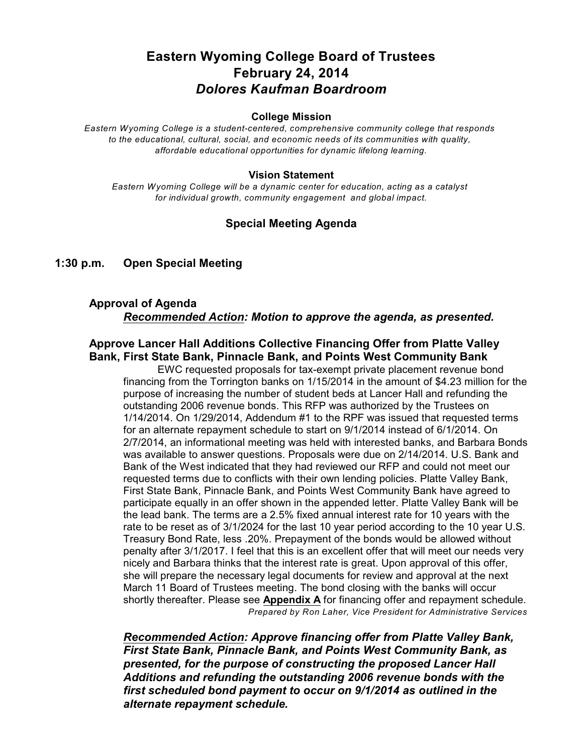# **Eastern Wyoming College Board of Trustees February 24, 2014** *Dolores Kaufman Boardroom*

#### **College Mission**

*Eastern Wyoming College is a student-centered, comprehensive community college that responds to the educational, cultural, social, and economic needs of its communities with quality, affordable educational opportunities for dynamic lifelong learning.*

#### **Vision Statement**

*Eastern Wyoming College will be a dynamic center for education, acting as a catalyst for individual growth, community engagement and global impact.*

## **Special Meeting Agenda**

#### **1:30 p.m. Open Special Meeting**

## **Approval of Agenda** *Recommended Action: Motion to approve the agenda, as presented.*

#### **Approve Lancer Hall Additions Collective Financing Offer from Platte Valley Bank, First State Bank, Pinnacle Bank, and Points West Community Bank**

EWC requested proposals for tax-exempt private placement revenue bond financing from the Torrington banks on 1/15/2014 in the amount of \$4.23 million for the purpose of increasing the number of student beds at Lancer Hall and refunding the outstanding 2006 revenue bonds. This RFP was authorized by the Trustees on 1/14/2014. On 1/29/2014, Addendum #1 to the RPF was issued that requested terms for an alternate repayment schedule to start on 9/1/2014 instead of 6/1/2014. On 2/7/2014, an informational meeting was held with interested banks, and Barbara Bonds was available to answer questions. Proposals were due on 2/14/2014. U.S. Bank and Bank of the West indicated that they had reviewed our RFP and could not meet our requested terms due to conflicts with their own lending policies. Platte Valley Bank, First State Bank, Pinnacle Bank, and Points West Community Bank have agreed to participate equally in an offer shown in the appended letter. Platte Valley Bank will be the lead bank. The terms are a 2.5% fixed annual interest rate for 10 years with the rate to be reset as of 3/1/2024 for the last 10 year period according to the 10 year U.S. Treasury Bond Rate, less .20%. Prepayment of the bonds would be allowed without penalty after 3/1/2017. I feel that this is an excellent offer that will meet our needs very nicely and Barbara thinks that the interest rate is great. Upon approval of this offer, she will prepare the necessary legal documents for review and approval at the next March 11 Board of Trustees meeting. The bond closing with the banks will occur shortly thereafter. Please see **Appendix A** for financing offer and repayment schedule. *Prepared by Ron Laher, Vice President for Administrative Services*

*Recommended Action: Approve financing offer from Platte Valley Bank, First State Bank, Pinnacle Bank, and Points West Community Bank, as presented, for the purpose of constructing the proposed Lancer Hall Additions and refunding the outstanding 2006 revenue bonds with the first scheduled bond payment to occur on 9/1/2014 as outlined in the alternate repayment schedule.*